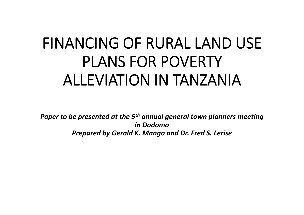## **FINANCING OF RURAL LAND USE PLANS FOR POVERTY ALLEVIATION IN TANZANIA**

*Paper to be presented at the 5th annual general town planners meeting in Dodoma Prepared by Gerald K. Mango and Dr. Fred S. Lerise*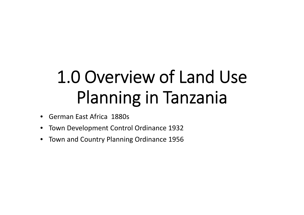# **1.0 Overview of Land Use Planning in Tanzania**

- German East Africa 1880s
- Town Development Control Ordinance 1932
- Town and Country Planning Ordinance 1956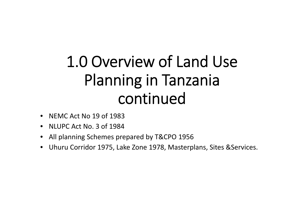## **1.0 Overview of Land Use Planning in Tanzania continued**

- NEMC Act No 19 of 1983
- NLUPC Act No. 3 of 1984
- All planning Schemes prepared by T&CPO 1956
- Uhuru Corridor 1975, Lake Zone 1978, Masterplans, Sites &Services.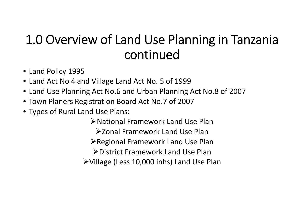#### **1.0 Overview of Land Use Planning in Tanzania continued**

- Land Policy 1995
- Land Act No 4 and Village Land Act No. 5 of 1999
- Land Use Planning Act No.6 and Urban Planning Act No.8 of 2007
- Town Planers Registration Board Act No.7 of 2007
- Types of Rural Land Use Plans:

National Framework Land Use Plan **≽Zonal Framework Land Use Plan ≻Regional Framework Land Use Plan** District Framework Land Use Plan Village (Less 10,000 inhs) Land Use Plan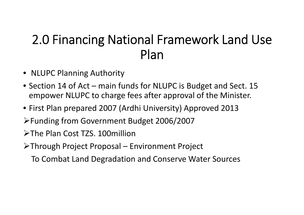#### **2.0 Financing National Framework Land Use Plan**

- NLUPC Planning Authority
- Section 14 of Act main funds for NLUPC is Budget and Sect. 15 empower NLUPC to charge fees after approval of the Minister.
- First Plan prepared 2007 (Ardhi University) Approved 2013
- Funding from Government Budget 2006/2007
- The Plan Cost TZS. 100million
- Through Project Proposal Environment Project
	- To Combat Land Degradation and Conserve Water Sources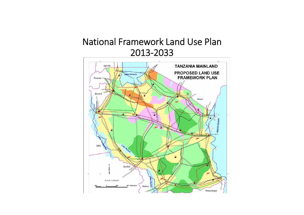#### **National Framework Land Use Plan 2013-2033**

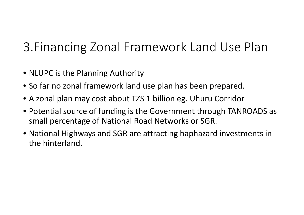### 3.Financing Zonal Framework Land Use Plan

- NLUPC is the Planning Authority
- So far no zonal framework land use plan has been prepared.
- A zonal plan may cost about TZS 1 billion eg. Uhuru Corridor
- Potential source of funding is the Government through TANROADS as small percentage of National Road Networks or SGR.
- National Highways and SGR are attracting haphazard investments in the hinterland.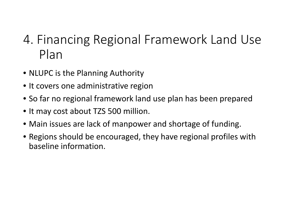#### 4. Financing Regional Framework Land Use Plan

- NLUPC is the Planning Authority
- It covers one administrative region
- So far no regional framework land use plan has been prepared
- It may cost about TZS 500 million.
- Main issues are lack of manpower and shortage of funding.
- Regions should be encouraged, they have regional profiles with baseline information.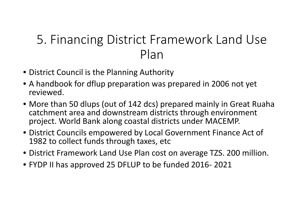#### 5. Financing District Framework Land Use Plan

- District Council is the Planning Authority
- A handbook for dflup preparation was prepared in 2006 not yet reviewed.
- More than 50 dlups (out of 142 dcs) prepared mainly in Great Ruaha catchment area and downstream districts through environment project. World Bank along coastal districts under MACEMP.
- District Councils empowered by Local Government Finance Act of 1982 to collect funds through taxes, etc
- District Framework Land Use Plan cost on average TZS. 200 million.
- FYDP II has approved 25 DFLUP to be funded 2016- 2021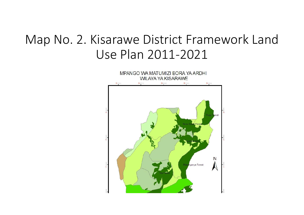#### Map No. 2. Kisarawe District Framework Land Use Plan 2011-2021

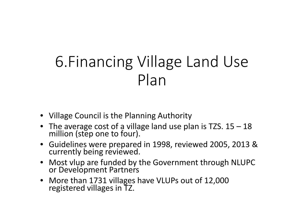## 6.Financing Village Land Use Plan

- Village Council is the Planning Authority
- The average cost of a village land use plan is TZS. 15 18 million (step one to four).
- Guidelines were prepared in 1998, reviewed 2005, 2013 & currently being reviewed.
- Most vlup are funded by the Government through NLUPC or Development Partners
- More than 1731 villages have VLUPs out of 12,000 registered villages in TZ.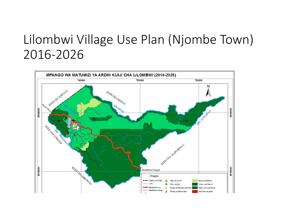#### Lilombwi Village Use Plan (Njombe Town) 2016-2026

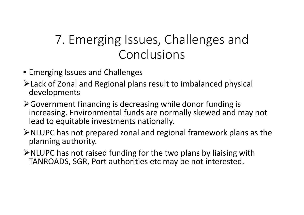#### 7. Emerging Issues, Challenges and Conclusions

- Emerging Issues and Challenges
- Lack of Zonal and Regional plans result to imbalanced physical developments
- Government financing is decreasing while donor funding is increasing. Environmental funds are normally skewed and may not lead to equitable investments nationally.
- $\triangleright$  NLUPC has not prepared zonal and regional framework plans as the planning authority.
- $\triangleright$  NLUPC has not raised funding for the two plans by liaising with TANROADS, SGR, Port authorities etc may be not interested.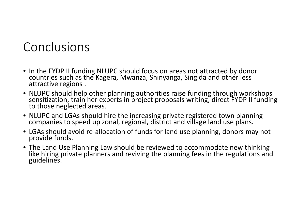#### Conclusions

- In the FYDP II funding NLUPC should focus on areas not attracted by donor countries such as the Kagera, Mwanza, Shinyanga, Singida and other less attractive regions .
- NLUPC should help other planning authorities raise funding through workshops sensitization, train her experts in project proposals writing, direct FYDP II funding to those neglected areas.
- NLUPC and LGAs should hire the increasing private registered town planning companies to speed up zonal, regional, district and village land use plans.
- LGAs should avoid re-allocation of funds for land use planning, donors may not provide funds.
- The Land Use Planning Law should be reviewed to accommodate new thinking like hiring private planners and reviving the planning fees in the regulations and guidelines.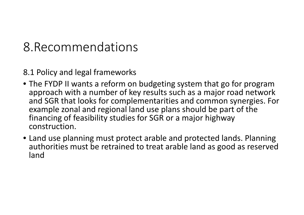#### 8.Recommendations

8.1 Policy and legal frameworks

- The FYDP II wants a reform on budgeting system that go for program approach with a number of key results such as a major road network and SGR that looks for complementarities and common synergies. For example zonal and regional land use plans should be part of the financing of feasibility studies for SGR or a major highway construction.
- Land use planning must protect arable and protected lands. Planning authorities must be retrained to treat arable land as good as reserved land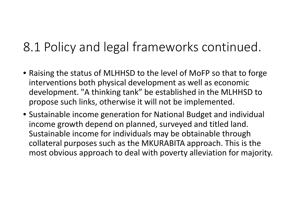#### 8.1 Policy and legal frameworks continued.

- Raising the status of MLHHSD to the level of MoFP so that to forge interventions both physical development as well as economic development. "A thinking tank" be established in the MLHHSD to propose such links, otherwise it will not be implemented.
- Sustainable income generation for National Budget and individual income growth depend on planned, surveyed and titled land. Sustainable income for individuals may be obtainable through collateral purposes such as the MKURABITA approach. This is the most obvious approach to deal with poverty alleviation for majority.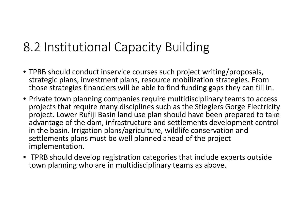#### 8.2 Institutional Capacity Building

- TPRB should conduct inservice courses such project writing/proposals, strategic plans, investment plans, resource mobilization strategies. From those strategies financiers will be able to find funding gaps they can fill in.
- Private town planning companies require multidisciplinary teams to access projects that require many disciplines such as the Stieglers Gorge Electricity project. Lower Rufiji Basin land use plan should have been prepared to take advantage of the dam, infrastructure and settlements development control in the basin. Irrigation plans/agriculture, wildlife conservation and settlements plans must be well planned ahead of the project implementation.
- TPRB should develop registration categories that include experts outside town planning who are in multidisciplinary teams as above.